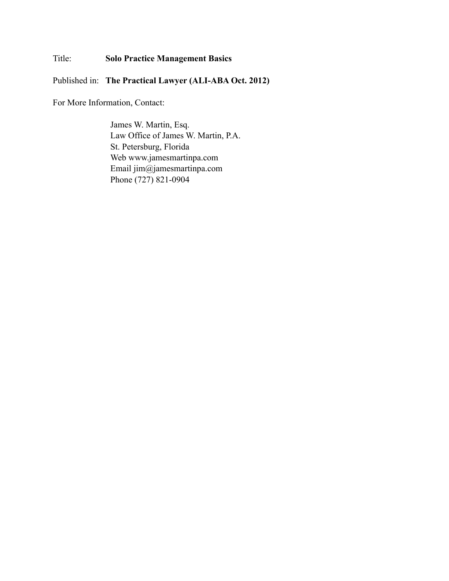Title: **Solo Practice Management Basics**

Published in: **The Practical Lawyer (ALI-ABA Oct. 2012)**

For More Information, Contact:

James W. Martin, Esq. Law Office of James W. Martin, P.A. St. Petersburg, Florida Web www.jamesmartinpa.com Email jim@jamesmartinpa.com Phone (727) 821-0904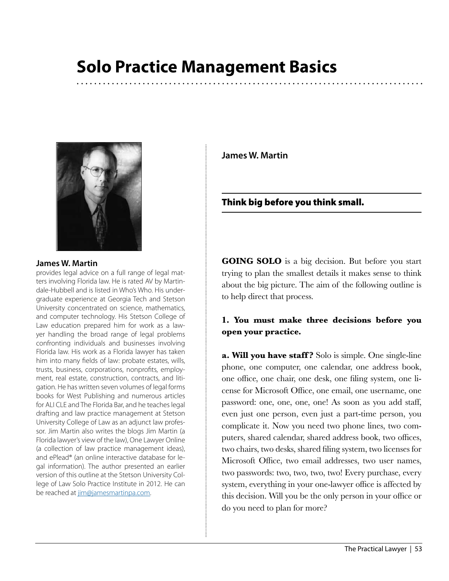# **Solo Practice Management Basics**



#### **James W. Martin**

provides legal advice on a full range of legal matters involving Florida law. He is rated AV by Martindale-Hubbell and is listed in Who's Who. His undergraduate experience at Georgia Tech and Stetson University concentrated on science, mathematics, and computer technology. His Stetson College of Law education prepared him for work as a lawyer handling the broad range of legal problems confronting individuals and businesses involving Florida law. His work as a Florida lawyer has taken him into many fields of law: probate estates, wills, trusts, business, corporations, nonprofits, employment, real estate, construction, contracts, and litigation. He has written seven volumes of legal forms books for West Publishing and numerous articles for ALI CLE and The Florida Bar, and he teaches legal drafting and law practice management at Stetson University College of Law as an adjunct law professor. Jim Martin also writes the blogs Jim Martin (a Florida lawyer's view of the law), One Lawyer Online (a collection of law practice management ideas), and ePlead® (an online interactive database for legal information). The author presented an earlier version of this outline at the Stetson University College of Law Solo Practice Institute in 2012. He can be reached at [jim@jamesmartinpa.com.](mailto:jim@jamesmartinpa.com)

**James W. Martin**

Think big before you think small.

**GOING SOLO** is a big decision. But before you start trying to plan the smallest details it makes sense to think about the big picture. The aim of the following outline is to help direct that process.

### **1. You must make three decisions before you open your practice.**

**a. Will you have staff ?** Solo is simple. One single-line phone, one computer, one calendar, one address book, one office, one chair, one desk, one filing system, one license for Microsoft Office, one email, one username, one password: one, one, one, one! As soon as you add staff, even just one person, even just a part-time person, you complicate it. Now you need two phone lines, two computers, shared calendar, shared address book, two offices, two chairs, two desks, shared filing system, two licenses for Microsoft Office, two email addresses, two user names, two passwords: two, two, two, two! Every purchase, every system, everything in your one-lawyer office is affected by this decision. Will you be the only person in your office or do you need to plan for more?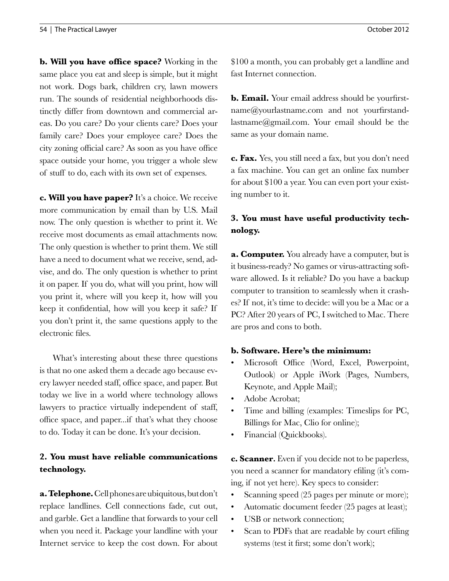**b. Will you have office space?** Working in the same place you eat and sleep is simple, but it might not work. Dogs bark, children cry, lawn mowers run. The sounds of residential neighborhoods distinctly differ from downtown and commercial areas. Do you care? Do your clients care? Does your family care? Does your employee care? Does the city zoning official care? As soon as you have office space outside your home, you trigger a whole slew of stuff to do, each with its own set of expenses.

**c. Will you have paper?** It's a choice. We receive more communication by email than by U.S. Mail now. The only question is whether to print it. We receive most documents as email attachments now. The only question is whether to print them. We still have a need to document what we receive, send, advise, and do. The only question is whether to print it on paper. If you do, what will you print, how will you print it, where will you keep it, how will you keep it confidential, how will you keep it safe? If you don't print it, the same questions apply to the electronic files.

What's interesting about these three questions is that no one asked them a decade ago because every lawyer needed staff, office space, and paper. But today we live in a world where technology allows lawyers to practice virtually independent of staff, office space, and paper...if that's what they choose to do. Today it can be done. It's your decision.

## **2. You must have reliable communications technology.**

**a. Telephone.** Cell phones are ubiquitous, but don't replace landlines. Cell connections fade, cut out, and garble. Get a landline that forwards to your cell when you need it. Package your landline with your Internet service to keep the cost down. For about \$100 a month, you can probably get a landline and fast Internet connection.

**b. Email.** Your email address should be [yourfirst](http://www.yourfirstname@yourlastname.com)[name@yourlastname.com](http://www.yourfirstname@yourlastname.com) and not [yourfirstand](yourfirstandlastname@gmail.com)[lastname@gmail.com](yourfirstandlastname@gmail.com). Your email should be the same as your domain name.

**c. Fax.** Yes, you still need a fax, but you don't need a fax machine. You can get an online fax number for about \$100 a year. You can even port your existing number to it.

## **3. You must have useful productivity technology.**

**a. Computer.** You already have a computer, but is it business-ready? No games or virus-attracting software allowed. Is it reliable? Do you have a backup computer to transition to seamlessly when it crashes? If not, it's time to decide: will you be a Mac or a PC? After 20 years of PC, I switched to Mac. There are pros and cons to both.

#### **b. Software. Here's the minimum:**

- Microsoft Office (Word, Excel, Powerpoint, Outlook) or Apple iWork (Pages, Numbers, Keynote, and Apple Mail);
- Adobe Acrobat;
- Time and billing (examples: Timeslips for PC, Billings for Mac, Clio for online);
- Financial (Quickbooks).

**c. Scanner.** Even if you decide not to be paperless, you need a scanner for mandatory efiling (it's coming, if not yet here). Key specs to consider:

- Scanning speed (25 pages per minute or more);
- Automatic document feeder (25 pages at least);
- USB or network connection;
- Scan to PDFs that are readable by court efiling systems (test it first; some don't work);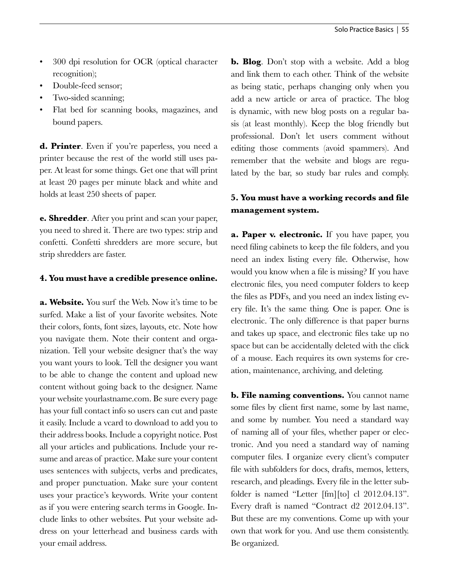- 300 dpi resolution for OCR (optical character recognition);
- Double-feed sensor;
- Two-sided scanning;
- Flat bed for scanning books, magazines, and bound papers.

**d. Printer**. Even if you're paperless, you need a printer because the rest of the world still uses paper. At least for some things. Get one that will print at least 20 pages per minute black and white and holds at least 250 sheets of paper.

**e. Shredder**. After you print and scan your paper, you need to shred it. There are two types: strip and confetti. Confetti shredders are more secure, but strip shredders are faster.

#### **4. You must have a credible presence online.**

**a. Website.** You surf the Web. Now it's time to be surfed. Make a list of your favorite websites. Note their colors, fonts, font sizes, layouts, etc. Note how you navigate them. Note their content and organization. Tell your website designer that's the way you want yours to look. Tell the designer you want to be able to change the content and upload new content without going back to the designer. Name your website [yourlastname.com.](yourlastname.com) Be sure every page has your full contact info so users can cut and paste it easily. Include a vcard to download to add you to their address books. Include a copyright notice. Post all your articles and publications. Include your resume and areas of practice. Make sure your content uses sentences with subjects, verbs and predicates, and proper punctuation. Make sure your content uses your practice's keywords. Write your content as if you were entering search terms in Google. Include links to other websites. Put your website address on your letterhead and business cards with your email address.

**b. Blog**. Don't stop with a website. Add a blog and link them to each other. Think of the website as being static, perhaps changing only when you add a new article or area of practice. The blog is dynamic, with new blog posts on a regular basis (at least monthly). Keep the blog friendly but professional. Don't let users comment without editing those comments (avoid spammers). And remember that the website and blogs are regulated by the bar, so study bar rules and comply.

## **5. You must have a working records and file management system.**

**a. Paper v. electronic.** If you have paper, you need filing cabinets to keep the file folders, and you need an index listing every file. Otherwise, how would you know when a file is missing? If you have electronic files, you need computer folders to keep the files as PDFs, and you need an index listing every file. It's the same thing. One is paper. One is electronic. The only difference is that paper burns and takes up space, and electronic files take up no space but can be accidentally deleted with the click of a mouse. Each requires its own systems for creation, maintenance, archiving, and deleting.

**b. File naming conventions.** You cannot name some files by client first name, some by last name, and some by number. You need a standard way of naming all of your files, whether paper or electronic. And you need a standard way of naming computer files. I organize every client's computer file with subfolders for docs, drafts, memos, letters, research, and pleadings. Every file in the letter subfolder is named "Letter [fm][to] cl 2012.04.13". Every draft is named "Contract d2 2012.04.13". But these are my conventions. Come up with your own that work for you. And use them consistently. Be organized.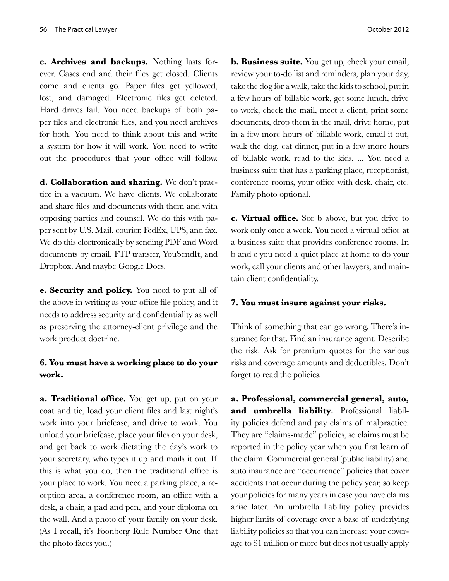**c. Archives and backups.** Nothing lasts forever. Cases end and their files get closed. Clients come and clients go. Paper files get yellowed, lost, and damaged. Electronic files get deleted. Hard drives fail. You need backups of both paper files and electronic files, and you need archives for both. You need to think about this and write a system for how it will work. You need to write out the procedures that your office will follow.

**d. Collaboration and sharing.** We don't practice in a vacuum. We have clients. We collaborate and share files and documents with them and with opposing parties and counsel. We do this with paper sent by U.S. Mail, courier, FedEx, UPS, and fax. We do this electronically by sending PDF and Word documents by email, FTP transfer, YouSendIt, and Dropbox. And maybe Google Docs.

**e. Security and policy.** You need to put all of the above in writing as your office file policy, and it needs to address security and confidentiality as well as preserving the attorney-client privilege and the work product doctrine.

## **6. You must have a working place to do your work.**

**a. Traditional office.** You get up, put on your coat and tie, load your client files and last night's work into your briefcase, and drive to work. You unload your briefcase, place your files on your desk, and get back to work dictating the day's work to your secretary, who types it up and mails it out. If this is what you do, then the traditional office is your place to work. You need a parking place, a reception area, a conference room, an office with a desk, a chair, a pad and pen, and your diploma on the wall. And a photo of your family on your desk. (As I recall, it's Foonberg Rule Number One that the photo faces you.)

**b. Business suite.** You get up, check your email, review your to-do list and reminders, plan your day, take the dog for a walk, take the kids to school, put in a few hours of billable work, get some lunch, drive to work, check the mail, meet a client, print some documents, drop them in the mail, drive home, put in a few more hours of billable work, email it out, walk the dog, eat dinner, put in a few more hours of billable work, read to the kids, ... You need a business suite that has a parking place, receptionist, conference rooms, your office with desk, chair, etc. Family photo optional.

**c. Virtual office.** See b above, but you drive to work only once a week. You need a virtual office at a business suite that provides conference rooms. In b and c you need a quiet place at home to do your work, call your clients and other lawyers, and maintain client confidentiality.

#### **7. You must insure against your risks.**

Think of something that can go wrong. There's insurance for that. Find an insurance agent. Describe the risk. Ask for premium quotes for the various risks and coverage amounts and deductibles. Don't forget to read the policies.

**a. Professional, commercial general, auto,**  and umbrella liability. Professional liability policies defend and pay claims of malpractice. They are "claims-made" policies, so claims must be reported in the policy year when you first learn of the claim. Commercial general (public liability) and auto insurance are "occurrence" policies that cover accidents that occur during the policy year, so keep your policies for many years in case you have claims arise later. An umbrella liability policy provides higher limits of coverage over a base of underlying liability policies so that you can increase your coverage to \$1 million or more but does not usually apply